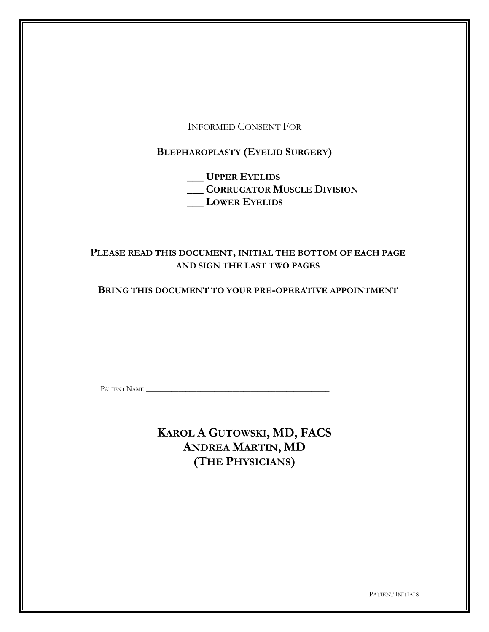INFORMED CONSENT FOR

**BLEPHAROPLASTY (EYELID SURGERY)**

**\_\_\_ UPPER EYELIDS \_\_\_ CORRUGATOR MUSCLE DIVISION \_\_\_ LOWER EYELIDS**

# **PLEASE READ THIS DOCUMENT, INITIAL THE BOTTOM OF EACH PAGE AND SIGN THE LAST TWO PAGES**

**BRING THIS DOCUMENT TO YOUR PRE-OPERATIVE APPOINTMENT**

PATIENT NAME \_\_\_\_\_\_\_\_\_\_\_\_\_\_\_\_\_\_\_\_\_\_\_\_\_\_\_\_\_\_\_\_\_\_\_\_\_\_\_\_\_\_\_\_\_\_\_\_\_\_\_

**KAROL A GUTOWSKI, MD, FACS ANDREA MARTIN, MD (THE PHYSICIANS)**

PATIENT INITIALS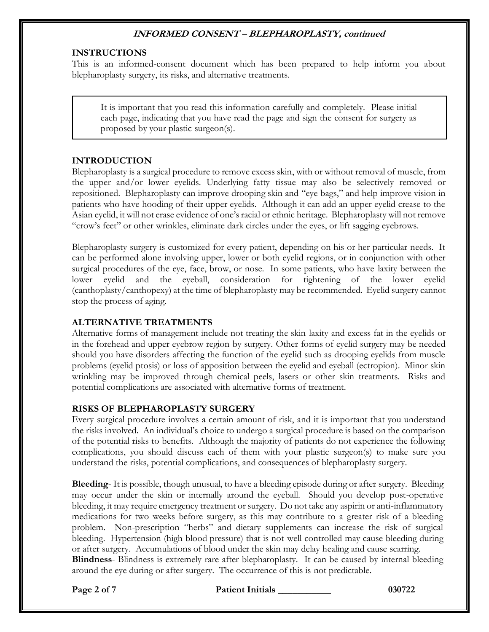### **INSTRUCTIONS**

This is an informed-consent document which has been prepared to help inform you about blepharoplasty surgery, its risks, and alternative treatments.

It is important that you read this information carefully and completely. Please initial each page, indicating that you have read the page and sign the consent for surgery as proposed by your plastic surgeon(s).

#### **INTRODUCTION**

Blepharoplasty is a surgical procedure to remove excess skin, with or without removal of muscle, from the upper and/or lower eyelids. Underlying fatty tissue may also be selectively removed or repositioned. Blepharoplasty can improve drooping skin and "eye bags," and help improve vision in patients who have hooding of their upper eyelids. Although it can add an upper eyelid crease to the Asian eyelid, it will not erase evidence of one's racial or ethnic heritage. Blepharoplasty will not remove "crow's feet" or other wrinkles, eliminate dark circles under the eyes, or lift sagging eyebrows.

Blepharoplasty surgery is customized for every patient, depending on his or her particular needs. It can be performed alone involving upper, lower or both eyelid regions, or in conjunction with other surgical procedures of the eye, face, brow, or nose. In some patients, who have laxity between the lower eyelid and the eyeball, consideration for tightening of the lower eyelid (canthoplasty/canthopexy) at the time of blepharoplasty may be recommended. Eyelid surgery cannot stop the process of aging.

### **ALTERNATIVE TREATMENTS**

Alternative forms of management include not treating the skin laxity and excess fat in the eyelids or in the forehead and upper eyebrow region by surgery. Other forms of eyelid surgery may be needed should you have disorders affecting the function of the eyelid such as drooping eyelids from muscle problems (eyelid ptosis) or loss of apposition between the eyelid and eyeball (ectropion). Minor skin wrinkling may be improved through chemical peels, lasers or other skin treatments. Risks and potential complications are associated with alternative forms of treatment.

#### **RISKS OF BLEPHAROPLASTY SURGERY**

Every surgical procedure involves a certain amount of risk, and it is important that you understand the risks involved. An individual's choice to undergo a surgical procedure is based on the comparison of the potential risks to benefits. Although the majority of patients do not experience the following complications, you should discuss each of them with your plastic surgeon(s) to make sure you understand the risks, potential complications, and consequences of blepharoplasty surgery.

**Bleeding**- It is possible, though unusual, to have a bleeding episode during or after surgery. Bleeding may occur under the skin or internally around the eyeball. Should you develop post-operative bleeding, it may require emergency treatment or surgery. Do not take any aspirin or anti-inflammatory medications for two weeks before surgery, as this may contribute to a greater risk of a bleeding problem. Non-prescription "herbs" and dietary supplements can increase the risk of surgical bleeding. Hypertension (high blood pressure) that is not well controlled may cause bleeding during or after surgery. Accumulations of blood under the skin may delay healing and cause scarring. **Blindness**- Blindness is extremely rare after blepharoplasty. It can be caused by internal bleeding around the eye during or after surgery. The occurrence of this is not predictable.

**Page 2 of 7 Patient Initials \_\_\_\_\_\_\_\_\_\_\_ 030722**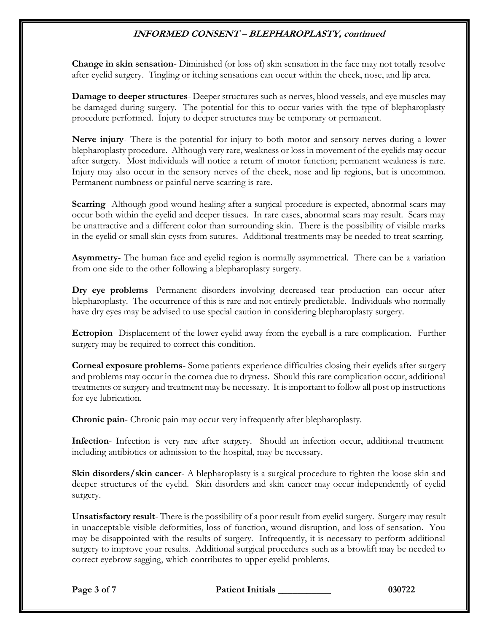**Change in skin sensation**- Diminished (or loss of) skin sensation in the face may not totally resolve after eyelid surgery. Tingling or itching sensations can occur within the cheek, nose, and lip area.

**Damage to deeper structures**- Deeper structures such as nerves, blood vessels, and eye muscles may be damaged during surgery. The potential for this to occur varies with the type of blepharoplasty procedure performed. Injury to deeper structures may be temporary or permanent.

**Nerve injury**- There is the potential for injury to both motor and sensory nerves during a lower blepharoplasty procedure. Although very rare, weakness or loss in movement of the eyelids may occur after surgery. Most individuals will notice a return of motor function; permanent weakness is rare. Injury may also occur in the sensory nerves of the cheek, nose and lip regions, but is uncommon. Permanent numbness or painful nerve scarring is rare.

**Scarring**- Although good wound healing after a surgical procedure is expected, abnormal scars may occur both within the eyelid and deeper tissues. In rare cases, abnormal scars may result. Scars may be unattractive and a different color than surrounding skin. There is the possibility of visible marks in the eyelid or small skin cysts from sutures. Additional treatments may be needed to treat scarring.

**Asymmetry**- The human face and eyelid region is normally asymmetrical. There can be a variation from one side to the other following a blepharoplasty surgery.

**Dry eye problems**- Permanent disorders involving decreased tear production can occur after blepharoplasty. The occurrence of this is rare and not entirely predictable. Individuals who normally have dry eyes may be advised to use special caution in considering blepharoplasty surgery.

**Ectropion**- Displacement of the lower eyelid away from the eyeball is a rare complication. Further surgery may be required to correct this condition.

**Corneal exposure problems**- Some patients experience difficulties closing their eyelids after surgery and problems may occur in the cornea due to dryness. Should this rare complication occur, additional treatments or surgery and treatment may be necessary. It is important to follow all post op instructions for eye lubrication.

**Chronic pain**- Chronic pain may occur very infrequently after blepharoplasty.

**Infection**- Infection is very rare after surgery. Should an infection occur, additional treatment including antibiotics or admission to the hospital, may be necessary.

**Skin disorders/skin cancer**- A blepharoplasty is a surgical procedure to tighten the loose skin and deeper structures of the eyelid. Skin disorders and skin cancer may occur independently of eyelid surgery.

**Unsatisfactory result**- There is the possibility of a poor result from eyelid surgery. Surgery may result in unacceptable visible deformities, loss of function, wound disruption, and loss of sensation. You may be disappointed with the results of surgery. Infrequently, it is necessary to perform additional surgery to improve your results. Additional surgical procedures such as a browlift may be needed to correct eyebrow sagging, which contributes to upper eyelid problems.

**Page 3 of 7 Patient Initials \_\_\_\_\_\_\_\_\_\_\_ 030722**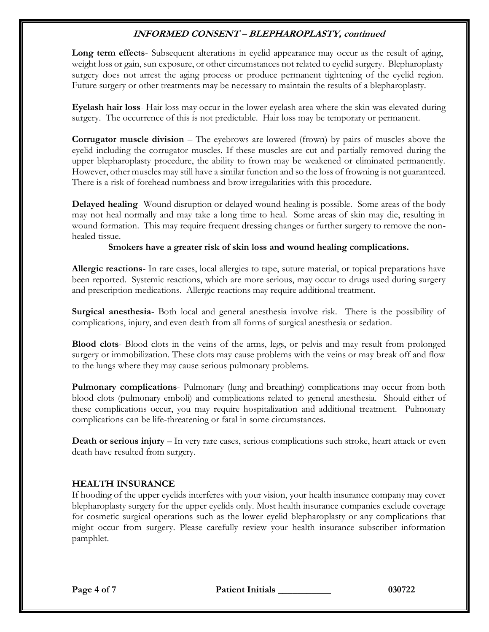**Long term effects**- Subsequent alterations in eyelid appearance may occur as the result of aging, weight loss or gain, sun exposure, or other circumstances not related to eyelid surgery. Blepharoplasty surgery does not arrest the aging process or produce permanent tightening of the eyelid region. Future surgery or other treatments may be necessary to maintain the results of a blepharoplasty.

**Eyelash hair loss**- Hair loss may occur in the lower eyelash area where the skin was elevated during surgery. The occurrence of this is not predictable. Hair loss may be temporary or permanent.

**Corrugator muscle division** – The eyebrows are lowered (frown) by pairs of muscles above the eyelid including the corrugator muscles. If these muscles are cut and partially removed during the upper blepharoplasty procedure, the ability to frown may be weakened or eliminated permanently. However, other muscles may still have a similar function and so the loss of frowning is not guaranteed. There is a risk of forehead numbness and brow irregularities with this procedure.

**Delayed healing**- Wound disruption or delayed wound healing is possible. Some areas of the body may not heal normally and may take a long time to heal. Some areas of skin may die, resulting in wound formation. This may require frequent dressing changes or further surgery to remove the nonhealed tissue.

#### **Smokers have a greater risk of skin loss and wound healing complications.**

**Allergic reactions**- In rare cases, local allergies to tape, suture material, or topical preparations have been reported. Systemic reactions, which are more serious, may occur to drugs used during surgery and prescription medications. Allergic reactions may require additional treatment.

**Surgical anesthesia**- Both local and general anesthesia involve risk. There is the possibility of complications, injury, and even death from all forms of surgical anesthesia or sedation.

**Blood clots**- Blood clots in the veins of the arms, legs, or pelvis and may result from prolonged surgery or immobilization. These clots may cause problems with the veins or may break off and flow to the lungs where they may cause serious pulmonary problems.

**Pulmonary complications**- Pulmonary (lung and breathing) complications may occur from both blood clots (pulmonary emboli) and complications related to general anesthesia. Should either of these complications occur, you may require hospitalization and additional treatment. Pulmonary complications can be life-threatening or fatal in some circumstances.

**Death or serious injury** – In very rare cases, serious complications such stroke, heart attack or even death have resulted from surgery.

### **HEALTH INSURANCE**

If hooding of the upper eyelids interferes with your vision, your health insurance company may cover blepharoplasty surgery for the upper eyelids only. Most health insurance companies exclude coverage for cosmetic surgical operations such as the lower eyelid blepharoplasty or any complications that might occur from surgery. Please carefully review your health insurance subscriber information pamphlet.

**Page 4 of 7 Patient Initials \_\_\_\_\_\_\_\_\_\_\_ 030722**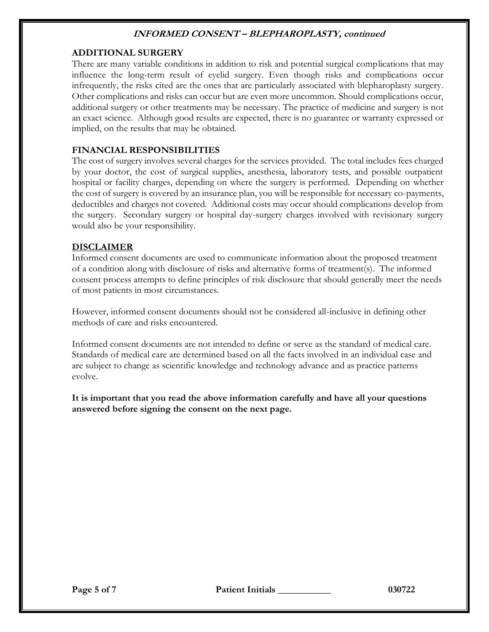## **ADDITIONAL SURGERY**

There are many variable conditions in addition to risk and potential surgical complications that may influence the long-term result of eyelid surgery. Even though risks and complications occur infrequently, the risks cited are the ones that are particularly associated with blepharoplasty surgery. Other complications and risks can occur but are even more uncommon. Should complications occur, additional surgery or other treatments may be necessary. The practice of medicine and surgery is not an exact science. Although good results are expected, there is no guarantee or warranty expressed or implied, on the results that may be obtained.

### **FINANCIAL RESPONSIBILITIES**

The cost of surgery involves several charges for the services provided. The total includes fees charged by your doctor, the cost of surgical supplies, anesthesia, laboratory tests, and possible outpatient hospital or facility charges, depending on where the surgery is performed. Depending on whether the cost of surgery is covered by an insurance plan, you will be responsible for necessary co-payments, deductibles and charges not covered. Additional costs may occur should complications develop from the surgery. Secondary surgery or hospital day-surgery charges involved with revisionary surgery would also be your responsibility.

#### **DISCLAIMER**

Informed consent documents are used to communicate information about the proposed treatment of a condition along with disclosure of risks and alternative forms of treatment(s). The informed consent process attempts to define principles of risk disclosure that should generally meet the needs of most patients in most circumstances.

However, informed consent documents should not be considered all-inclusive in defining other methods of care and risks encountered.

Informed consent documents are not intended to define or serve as the standard of medical care. Standards of medical care are determined based on all the facts involved in an individual case and are subject to change as scientific knowledge and technology advance and as practice patterns evolve.

**It is important that you read the above information carefully and have all your questions answered before signing the consent on the next page.**

**Page 5 of 7 Patient Initials \_\_\_\_\_\_\_\_\_\_\_ 030722**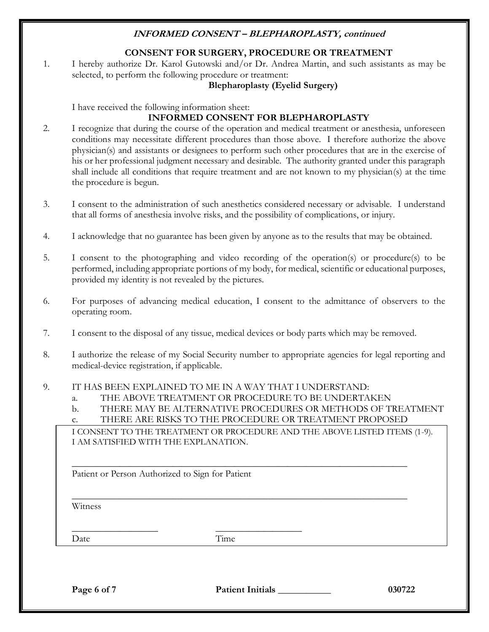# **CONSENT FOR SURGERY, PROCEDURE OR TREATMENT**

1. I hereby authorize Dr. Karol Gutowski and/or Dr. Andrea Martin, and such assistants as may be selected, to perform the following procedure or treatment:

## **Blepharoplasty (Eyelid Surgery)**

I have received the following information sheet:

## **INFORMED CONSENT FOR BLEPHAROPLASTY**

- 2. I recognize that during the course of the operation and medical treatment or anesthesia, unforeseen conditions may necessitate different procedures than those above. I therefore authorize the above physician(s) and assistants or designees to perform such other procedures that are in the exercise of his or her professional judgment necessary and desirable. The authority granted under this paragraph shall include all conditions that require treatment and are not known to my physician(s) at the time the procedure is begun.
- 3. I consent to the administration of such anesthetics considered necessary or advisable. I understand that all forms of anesthesia involve risks, and the possibility of complications, or injury.
- 4. I acknowledge that no guarantee has been given by anyone as to the results that may be obtained.
- 5. I consent to the photographing and video recording of the operation(s) or procedure(s) to be performed, including appropriate portions of my body, for medical, scientific or educational purposes, provided my identity is not revealed by the pictures.
- 6. For purposes of advancing medical education, I consent to the admittance of observers to the operating room.
- 7. I consent to the disposal of any tissue, medical devices or body parts which may be removed.
- 8. I authorize the release of my Social Security number to appropriate agencies for legal reporting and medical-device registration, if applicable.

#### 9. IT HAS BEEN EXPLAINED TO ME IN A WAY THAT I UNDERSTAND:

- a. THE ABOVE TREATMENT OR PROCEDURE TO BE UNDERTAKEN
- b. THERE MAY BE ALTERNATIVE PROCEDURES OR METHODS OF TREATMENT
- c. THERE ARE RISKS TO THE PROCEDURE OR TREATMENT PROPOSED

\_\_\_\_\_\_\_\_\_\_\_\_\_\_\_\_\_\_\_\_\_\_\_\_\_\_\_\_\_\_\_\_\_\_\_\_\_\_\_\_\_\_\_\_\_\_\_\_\_\_\_\_\_\_\_\_\_\_\_\_\_\_\_\_\_\_\_\_\_\_

\_\_\_\_\_\_\_\_\_\_\_\_\_\_\_\_\_\_\_\_\_\_\_\_\_\_\_\_\_\_\_\_\_\_\_\_\_\_\_\_\_\_\_\_\_\_\_\_\_\_\_\_\_\_\_\_\_\_\_\_\_\_\_\_\_\_\_\_\_\_

I CONSENT TO THE TREATMENT OR PROCEDURE AND THE ABOVE LISTED ITEMS (1-9). I AM SATISFIED WITH THE EXPLANATION.

Patient or Person Authorized to Sign for Patient

\_\_\_\_\_\_\_\_\_\_\_\_\_\_\_\_\_\_ \_\_\_\_\_\_\_\_\_\_\_\_\_\_\_\_\_\_

Witness

Date Time

**Page 6 of 7 Patient Initials \_\_\_\_\_\_\_\_\_\_\_ 030722**